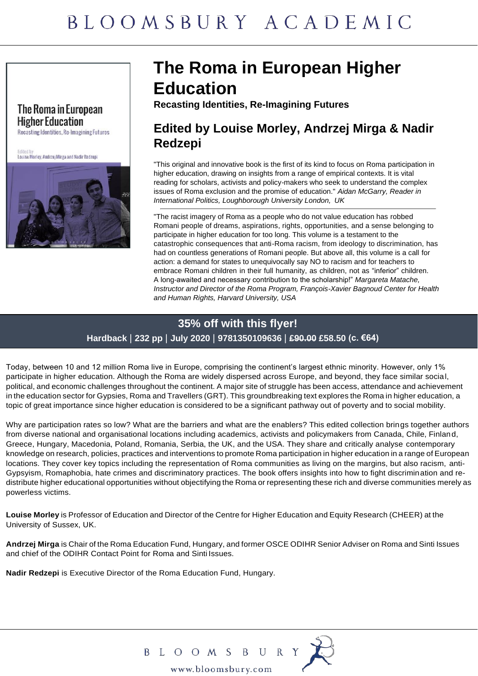#### The Roma in European **Higher Education**

Recasting Identities, Re-Imagining Futures

Edited by<br>Louise Morley, Andrzej Mirga and Nadir Redzepi



## **The Roma in European Higher Education**

**Recasting Identities, Re-Imagining Futures**

### **Edited by Louise Morley, Andrzej Mirga & Nadir Redzepi**

"This original and innovative book is the first of its kind to focus on Roma participation in higher education, drawing on insights from a range of empirical contexts. It is vital reading for scholars, activists and policy-makers who seek to understand the complex issues of Roma exclusion and the promise of education." *Aidan McGarry, Reader in International Politics, Loughborough University London, UK*

"The racist imagery of Roma as a people who do not value education has robbed Romani people of dreams, aspirations, rights, opportunities, and a sense belonging to participate in higher education for too long. This volume is a testament to the catastrophic consequences that anti-Roma racism, from ideology to discrimination, has had on countless generations of Romani people. But above all, this volume is a call for action: a demand for states to unequivocally say NO to racism and for teachers to embrace Romani children in their full humanity, as children, not as "inferior" children. A long-awaited and necessary contribution to the scholarship!" *Margareta Matache, Instructor and Director of the Roma Program, François-Xavier Bagnoud Center for Health and Human Rights, Harvard University, USA*

## **35% off with this flyer!**

**Hardback** | **232 pp** | **July 2020** | **9781350109636** | **£90.00 £58.50 (c. €64)**

Today, between 10 and 12 million Roma live in Europe, comprising the continent's largest ethnic minority. However, only 1% participate in higher education. Although the Roma are widely dispersed across Europe, and beyond, they face similar social, political, and economic challenges throughout the continent. A major site of struggle has been access, attendance and achievement in the education sector for Gypsies, Roma and Travellers (GRT). This groundbreaking text explores the Roma in higher education, a topic of great importance since higher education is considered to be a significant pathway out of poverty and to social mobility.

Why are participation rates so low? What are the barriers and what are the enablers? This edited collection brings together authors from diverse national and organisational locations including academics, activists and policymakers from Canada, Chile, Finland, Greece, Hungary, Macedonia, Poland, Romania, Serbia, the UK, and the USA. They share and critically analyse contemporary knowledge on research, policies, practices and interventions to promote Roma participation in higher education in a range of European locations. They cover key topics including the representation of Roma communities as living on the margins, but also racism, anti-Gypsyism, Romaphobia, hate crimes and discriminatory practices. The book offers insights into how to fight discrimination and redistribute higher educational opportunities without objectifying the Roma or representing these rich and diverse communities merely as powerless victims.

**Louise Morley** is Professor of Education and Director of the Centre for Higher Education and Equity Research (CHEER) at the University of Sussex, UK.

**Andrzej Mirga** is Chair of the Roma Education Fund, Hungary, and former OSCE ODIHR Senior Adviser on Roma and Sinti Issues and chief of the ODIHR Contact Point for Roma and Sinti Issues.

**Nadir Redzepi** is Executive Director of the Roma Education Fund, Hungary.



B L O O M S B U R Y<br>www.bloomsbury.com